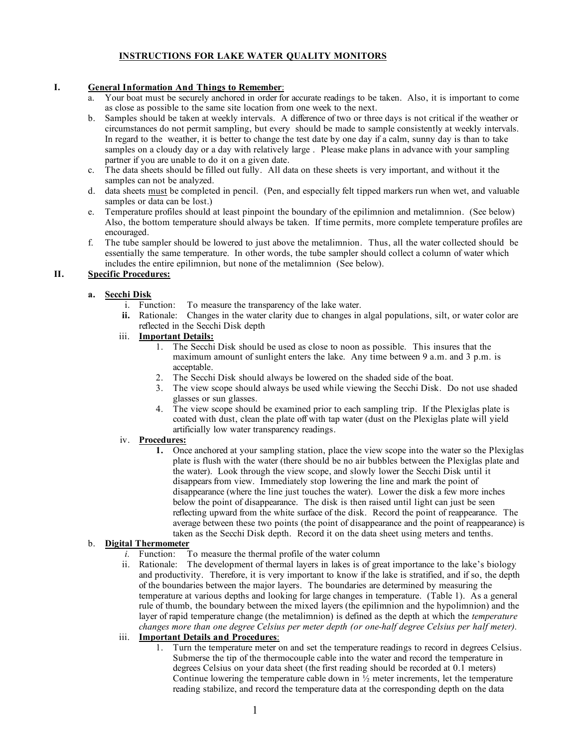## **INSTRUCTIONS FOR LAKE WATER QUALITY MONITORS**

#### **I. General Information And Things to Remember**:

- a. Your boat must be securely anchored in order for accurate readings to be taken. Also, it is important to come as close as possible to the same site location from one week to the next.
- b. Samples should be taken at weekly intervals. A difference of two or three days is not critical if the weather or circumstances do not permit sampling, but every should be made to sample consistently at weekly intervals. In regard to the weather, it is better to change the test date by one day if a calm, sunny day is than to take samples on a cloudy day or a day with relatively large . Please make plans in advance with your sampling partner if you are unable to do it on a given date.
- c. The data sheets should be filled out fully. All data on these sheets is very important, and without it the samples can not be analyzed.
- d. data sheets must be completed in pencil. (Pen, and especially felt tipped markers run when wet, and valuable samples or data can be lost.)
- e. Temperature profiles should at least pinpoint the boundary of the epilimnion and metalimnion. (See below) Also, the bottom temperature should always be taken. If time permits, more complete temperature profiles are encouraged.
- f. The tube sampler should be lowered to just above the metalimnion. Thus, all the water collected should be essentially the same temperature. In other words, the tube sampler should collect a column of water which includes the entire epilimnion, but none of the metalimnion (See below).

### **II. Specific Procedures:**

## **a. Secchi Disk**

- i. Function: To measure the transparency of the lake water.
- **ii.** Rationale: Changes in the water clarity due to changes in algal populations, silt, or water color are reflected in the Secchi Disk depth

#### iii. **Important Details:**

- 1. The Secchi Disk should be used as close to noon as possible. This insures that the maximum amount of sunlight enters the lake. Any time between 9 a.m. and 3 p.m. is acceptable.
- 2. The Secchi Disk should always be lowered on the shaded side of the boat.
- 3. The view scope should always be used while viewing the Secchi Disk. Do not use shaded glasses or sun glasses.
- 4. The view scope should be examined prior to each sampling trip. If the Plexiglas plate is coated with dust, clean the plate off with tap water (dust on the Plexiglas plate will yield artificially low water transparency readings.

## iv. **Procedures:**

**1.** Once anchored at your sampling station, place the view scope into the water so the Plexiglas plate is flush with the water (there should be no air bubbles between the Plexiglas plate and the water). Look through the view scope, and slowly lower the Secchi Disk until it disappears from view. Immediately stop lowering the line and mark the point of disappearance (where the line just touches the water). Lower the disk a few more inches below the point of disappearance. The disk is then raised until light can just be seen reflecting upward from the white surface of the disk. Record the point of reappearance. The average between these two points (the point of disappearance and the point of reappearance) is taken as the Secchi Disk depth. Record it on the data sheet using meters and tenths.

# b. **Digital Thermometer**

- To measure the thermal profile of the water column
- ii. Rationale: The development of thermal layers in lakes is of great importance to the lake's biology and productivity. Therefore, it is very important to know if the lake is stratified, and if so, the depth of the boundaries between the major layers. The boundaries are determined by measuring the temperature at various depths and looking for large changes in temperature. (Table 1). As a general rule of thumb, the boundary between the mixed layers (the epilimnion and the hypolimnion) and the layer of rapid temperature change (the metalimnion) is defined as the depth at which the *temperature changes more than one degree Celsius per meter depth (or one-half degree Celsius per half meter).*
- iii. **Important Details and Procedures**:
	- 1. Turn the temperature meter on and set the temperature readings to record in degrees Celsius. Submerse the tip of the thermocouple cable into the water and record the temperature in degrees Celsius on your data sheet (the first reading should be recorded at 0.1 meters) Continue lowering the temperature cable down in  $\frac{1}{2}$  meter increments, let the temperature reading stabilize, and record the temperature data at the corresponding depth on the data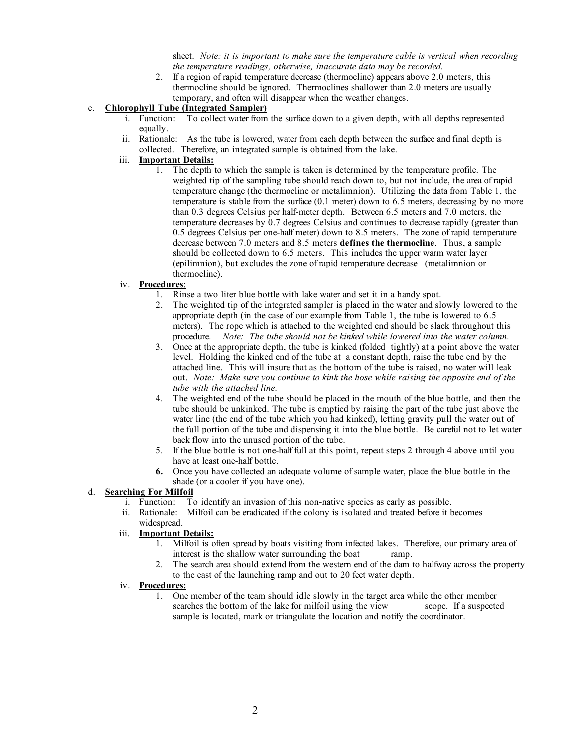sheet. *Note: it is important to make sure the temperature cable is vertical when recording the temperature readings, otherwise, inaccurate data may be recorded.*

2. If a region of rapid temperature decrease (thermocline) appears above 2.0 meters, this thermocline should be ignored. Thermoclines shallower than 2.0 meters are usually temporary, and often will disappear when the weather changes.

#### c. **Chlorophyll Tube (Integrated Sampler)**

- i. Function: To collect water from the surface down to a given depth, with all depths represented equally.
- ii. Rationale: As the tube is lowered, water from each depth between the surface and final depth is collected. Therefore, an integrated sample is obtained from the lake.

## iii. **Important Details:**

1. The depth to which the sample is taken is determined by the temperature profile. The weighted tip of the sampling tube should reach down to, but not include, the area of rapid temperature change (the thermocline or metalimnion). Utilizing the data from Table 1, the temperature is stable from the surface (0.1 meter) down to 6.5 meters, decreasing by no more than 0.3 degrees Celsius per half-meter depth. Between 6.5 meters and 7.0 meters, the temperature decreases by 0.7 degrees Celsius and continues to decrease rapidly (greater than 0.5 degrees Celsius per one-half meter) down to 8.5 meters. The zone of rapid temperature decrease between 7.0 meters and 8.5 meters **defines the thermocline**. Thus, a sample should be collected down to 6.5 meters. This includes the upper warm water layer (epilimnion), but excludes the zone of rapid temperature decrease (metalimnion or thermocline).

#### iv. **Procedures**:

- 1. Rinse a two liter blue bottle with lake water and set it in a handy spot.
- 2. The weighted tip of the integrated sampler is placed in the water and slowly lowered to the appropriate depth (in the case of our example from Table 1, the tube is lowered to 6.5 meters). The rope which is attached to the weighted end should be slack throughout this procedure*. Note: The tube should not be kinked while lowered into the water column.*
- 3. Once at the appropriate depth, the tube is kinked (folded tightly) at a point above the water level. Holding the kinked end of the tube at a constant depth, raise the tube end by the attached line. This will insure that as the bottom of the tube is raised, no water will leak out. *Note: Make sure you continue to kink the hose while raising the opposite end of the tube with the attached line.*
- 4. The weighted end of the tube should be placed in the mouth of the blue bottle, and then the tube should be unkinked. The tube is emptied by raising the part of the tube just above the water line (the end of the tube which you had kinked), letting gravity pull the water out of the full portion of the tube and dispensing it into the blue bottle. Be careful not to let water back flow into the unused portion of the tube.
- 5. If the blue bottle is not one-half full at this point, repeat steps 2 through 4 above until you have at least one-half bottle.
- **6.** Once you have collected an adequate volume of sample water, place the blue bottle in the shade (or a cooler if you have one).

#### d. **Searching For Milfoil**

- i. Function: To identify an invasion of this non-native species as early as possible.
- ii. Rationale: Milfoil can be eradicated if the colony is isolated and treated before it becomes widespread.

#### iii. **Important Details:**

- 1. Milfoil is often spread by boats visiting from infected lakes. Therefore, our primary area of interest is the shallow water surrounding the boat ramp.
- 2. The search area should extend from the western end of the dam to halfway across the property to the east of the launching ramp and out to 20 feet water depth.

## iv. **Procedures:**

1. One member of the team should idle slowly in the target area while the other member searches the bottom of the lake for milfoil using the view scope. If a suspected sample is located, mark or triangulate the location and notify the coordinator.